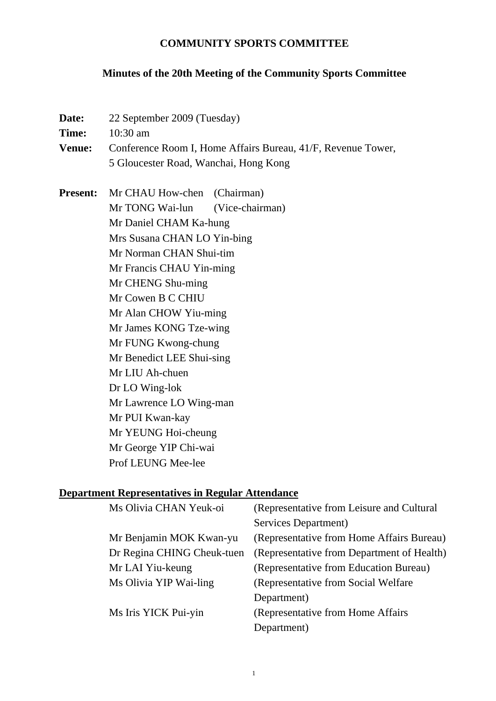### **COMMUNITY SPORTS COMMITTEE**

# **Minutes of the 20th Meeting of the Community Sports Committee**

| Date:<br>Time:<br><b>Venue:</b> | 22 September 2009 (Tuesday)<br>10:30 am<br>Conference Room I, Home Affairs Bureau, 41/F, Revenue Tower,<br>5 Gloucester Road, Wanchai, Hong Kong                                                                                                                                                                                                                                                                                                                                            |
|---------------------------------|---------------------------------------------------------------------------------------------------------------------------------------------------------------------------------------------------------------------------------------------------------------------------------------------------------------------------------------------------------------------------------------------------------------------------------------------------------------------------------------------|
| <b>Present:</b>                 | Mr CHAU How-chen (Chairman)<br>Mr TONG Wai-lun<br>(Vice-chairman)<br>Mr Daniel CHAM Ka-hung<br>Mrs Susana CHAN LO Yin-bing<br>Mr Norman CHAN Shui-tim<br>Mr Francis CHAU Yin-ming<br>Mr CHENG Shu-ming<br>Mr Cowen B C CHIU<br>Mr Alan CHOW Yiu-ming<br>Mr James KONG Tze-wing<br>Mr FUNG Kwong-chung<br>Mr Benedict LEE Shui-sing<br>Mr LIU Ah-chuen<br>Dr LO Wing-lok<br>Mr Lawrence LO Wing-man<br>Mr PUI Kwan-kay<br>Mr YEUNG Hoi-cheung<br>Mr George YIP Chi-wai<br>Prof LEUNG Mee-lee |

# **Department Representatives in Regular Attendance**

| Ms Olivia CHAN Yeuk-oi     | (Representative from Leisure and Cultural  |
|----------------------------|--------------------------------------------|
|                            | Services Department)                       |
| Mr Benjamin MOK Kwan-yu    | (Representative from Home Affairs Bureau)  |
| Dr Regina CHING Cheuk-tuen | (Representative from Department of Health) |
| Mr LAI Yiu-keung           | (Representative from Education Bureau)     |
| Ms Olivia YIP Wai-ling     | (Representative from Social Welfare)       |
|                            | Department)                                |
| Ms Iris YICK Pui-yin       | (Representative from Home Affairs          |
|                            | Department)                                |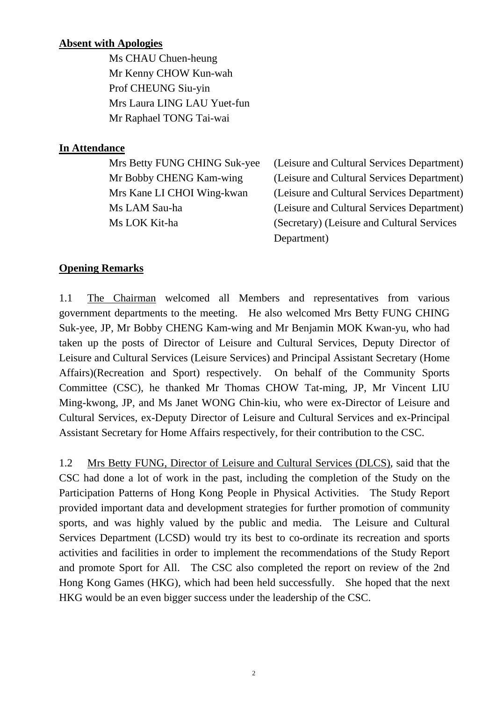### **Absent with Apologies**

 Ms CHAU Chuen-heung Mr Kenny CHOW Kun-wah Prof CHEUNG Siu-yin Mrs Laura LING LAU Yuet-fun Mr Raphael TONG Tai-wai

### **In Attendance**

 Mrs Betty FUNG CHING Suk-yee (Leisure and Cultural Services Department) Mr Bobby CHENG Kam-wing (Leisure and Cultural Services Department) Mrs Kane LI CHOI Wing-kwan (Leisure and Cultural Services Department) Ms LAM Sau-ha (Leisure and Cultural Services Department) Ms LOK Kit-ha (Secretary) (Leisure and Cultural Services Department)

### **Opening Remarks**

1.1 The Chairman welcomed all Members and representatives from various government departments to the meeting. He also welcomed Mrs Betty FUNG CHING Suk-yee, JP, Mr Bobby CHENG Kam-wing and Mr Benjamin MOK Kwan-yu, who had taken up the posts of Director of Leisure and Cultural Services, Deputy Director of Leisure and Cultural Services (Leisure Services) and Principal Assistant Secretary (Home Affairs)(Recreation and Sport) respectively. On behalf of the Community Sports Committee (CSC), he thanked Mr Thomas CHOW Tat-ming, JP, Mr Vincent LIU Ming-kwong, JP, and Ms Janet WONG Chin-kiu, who were ex-Director of Leisure and Cultural Services, ex-Deputy Director of Leisure and Cultural Services and ex-Principal Assistant Secretary for Home Affairs respectively, for their contribution to the CSC.

1.2 Mrs Betty FUNG, Director of Leisure and Cultural Services (DLCS), said that the CSC had done a lot of work in the past, including the completion of the Study on the Participation Patterns of Hong Kong People in Physical Activities. The Study Report provided important data and development strategies for further promotion of community sports, and was highly valued by the public and media. The Leisure and Cultural Services Department (LCSD) would try its best to co-ordinate its recreation and sports activities and facilities in order to implement the recommendations of the Study Report and promote Sport for All. The CSC also completed the report on review of the 2nd Hong Kong Games (HKG), which had been held successfully. She hoped that the next HKG would be an even bigger success under the leadership of the CSC.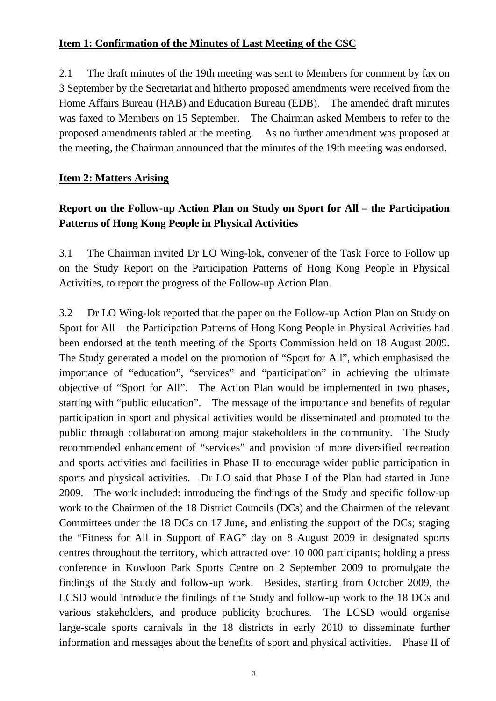### **Item 1: Confirmation of the Minutes of Last Meeting of the CSC**

2.1 The draft minutes of the 19th meeting was sent to Members for comment by fax on 3 September by the Secretariat and hitherto proposed amendments were received from the Home Affairs Bureau (HAB) and Education Bureau (EDB). The amended draft minutes was faxed to Members on 15 September. The Chairman asked Members to refer to the proposed amendments tabled at the meeting. As no further amendment was proposed at the meeting, the Chairman announced that the minutes of the 19th meeting was endorsed.

#### **Item 2: Matters Arising**

## **Report on the Follow-up Action Plan on Study on Sport for All – the Participation Patterns of Hong Kong People in Physical Activities**

3.1 The Chairman invited Dr LO Wing-lok, convener of the Task Force to Follow up on the Study Report on the Participation Patterns of Hong Kong People in Physical Activities, to report the progress of the Follow-up Action Plan.

3.2 Dr LO Wing-lok reported that the paper on the Follow-up Action Plan on Study on Sport for All – the Participation Patterns of Hong Kong People in Physical Activities had been endorsed at the tenth meeting of the Sports Commission held on 18 August 2009. The Study generated a model on the promotion of "Sport for All", which emphasised the importance of "education", "services" and "participation" in achieving the ultimate objective of "Sport for All". The Action Plan would be implemented in two phases, starting with "public education". The message of the importance and benefits of regular participation in sport and physical activities would be disseminated and promoted to the public through collaboration among major stakeholders in the community. The Study recommended enhancement of "services" and provision of more diversified recreation and sports activities and facilities in Phase II to encourage wider public participation in sports and physical activities. Dr LO said that Phase I of the Plan had started in June 2009. The work included: introducing the findings of the Study and specific follow-up work to the Chairmen of the 18 District Councils (DCs) and the Chairmen of the relevant Committees under the 18 DCs on 17 June, and enlisting the support of the DCs; staging the "Fitness for All in Support of EAG" day on 8 August 2009 in designated sports centres throughout the territory, which attracted over 10 000 participants; holding a press conference in Kowloon Park Sports Centre on 2 September 2009 to promulgate the findings of the Study and follow-up work. Besides, starting from October 2009, the LCSD would introduce the findings of the Study and follow-up work to the 18 DCs and various stakeholders, and produce publicity brochures. The LCSD would organise large-scale sports carnivals in the 18 districts in early 2010 to disseminate further information and messages about the benefits of sport and physical activities. Phase II of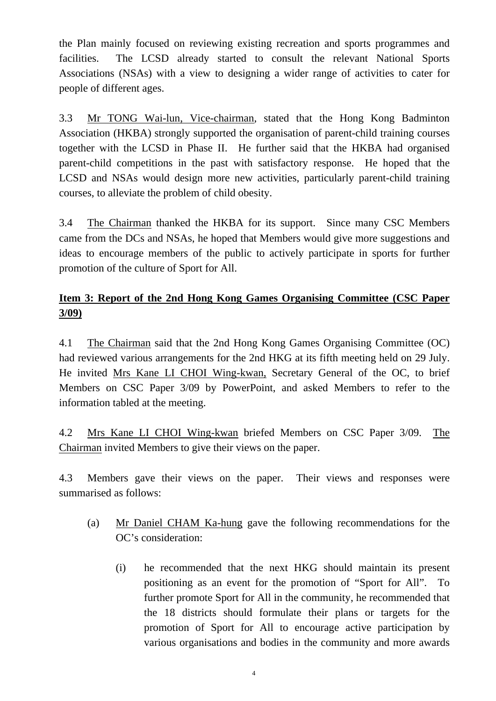the Plan mainly focused on reviewing existing recreation and sports programmes and facilities. The LCSD already started to consult the relevant National Sports Associations (NSAs) with a view to designing a wider range of activities to cater for people of different ages.

3.3 Mr TONG Wai-lun, Vice-chairman, stated that the Hong Kong Badminton Association (HKBA) strongly supported the organisation of parent-child training courses together with the LCSD in Phase II. He further said that the HKBA had organised parent-child competitions in the past with satisfactory response. He hoped that the LCSD and NSAs would design more new activities, particularly parent-child training courses, to alleviate the problem of child obesity.

3.4 The Chairman thanked the HKBA for its support. Since many CSC Members came from the DCs and NSAs, he hoped that Members would give more suggestions and ideas to encourage members of the public to actively participate in sports for further promotion of the culture of Sport for All.

## **Item 3: Report of the 2nd Hong Kong Games Organising Committee (CSC Paper 3/09)**

4.1 The Chairman said that the 2nd Hong Kong Games Organising Committee (OC) had reviewed various arrangements for the 2nd HKG at its fifth meeting held on 29 July. He invited Mrs Kane LI CHOI Wing-kwan, Secretary General of the OC, to brief Members on CSC Paper 3/09 by PowerPoint, and asked Members to refer to the information tabled at the meeting.

4.2 Mrs Kane LI CHOI Wing-kwan briefed Members on CSC Paper 3/09. The Chairman invited Members to give their views on the paper.

4.3 Members gave their views on the paper. Their views and responses were summarised as follows:

- (a) Mr Daniel CHAM Ka-hung gave the following recommendations for the OC's consideration:
	- (i) he recommended that the next HKG should maintain its present positioning as an event for the promotion of "Sport for All". To further promote Sport for All in the community, he recommended that the 18 districts should formulate their plans or targets for the promotion of Sport for All to encourage active participation by various organisations and bodies in the community and more awards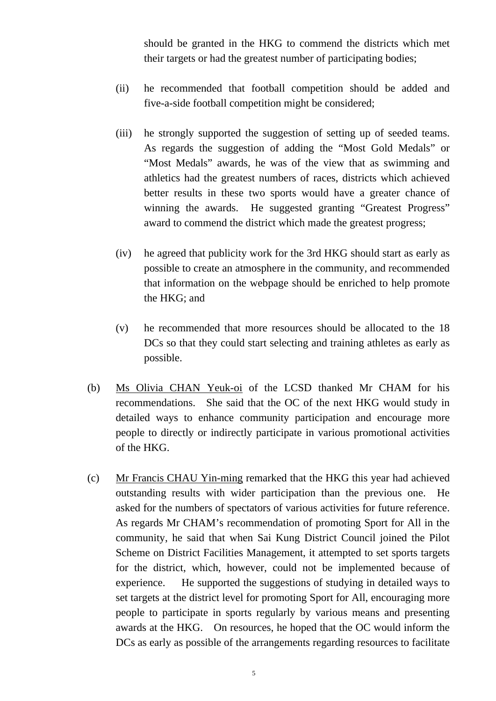should be granted in the HKG to commend the districts which met their targets or had the greatest number of participating bodies;

- (ii) he recommended that football competition should be added and five-a-side football competition might be considered;
- (iii) he strongly supported the suggestion of setting up of seeded teams. As regards the suggestion of adding the "Most Gold Medals" or "Most Medals" awards, he was of the view that as swimming and athletics had the greatest numbers of races, districts which achieved better results in these two sports would have a greater chance of winning the awards. He suggested granting "Greatest Progress" award to commend the district which made the greatest progress;
- (iv) he agreed that publicity work for the 3rd HKG should start as early as possible to create an atmosphere in the community, and recommended that information on the webpage should be enriched to help promote the HKG; and
- (v) he recommended that more resources should be allocated to the 18 DCs so that they could start selecting and training athletes as early as possible.
- (b) Ms Olivia CHAN Yeuk-oi of the LCSD thanked Mr CHAM for his recommendations. She said that the OC of the next HKG would study in detailed ways to enhance community participation and encourage more people to directly or indirectly participate in various promotional activities of the HKG.
- (c) Mr Francis CHAU Yin-ming remarked that the HKG this year had achieved outstanding results with wider participation than the previous one. He asked for the numbers of spectators of various activities for future reference. As regards Mr CHAM's recommendation of promoting Sport for All in the community, he said that when Sai Kung District Council joined the Pilot Scheme on District Facilities Management, it attempted to set sports targets for the district, which, however, could not be implemented because of experience. He supported the suggestions of studying in detailed ways to set targets at the district level for promoting Sport for All, encouraging more people to participate in sports regularly by various means and presenting awards at the HKG. On resources, he hoped that the OC would inform the DCs as early as possible of the arrangements regarding resources to facilitate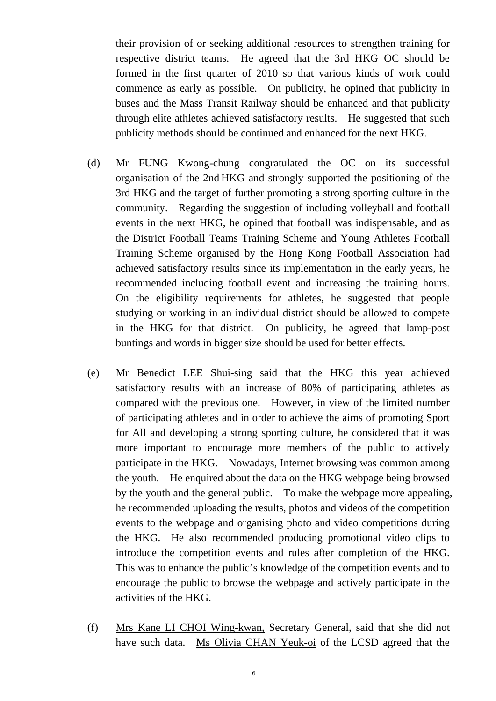their provision of or seeking additional resources to strengthen training for respective district teams. He agreed that the 3rd HKG OC should be formed in the first quarter of 2010 so that various kinds of work could commence as early as possible. On publicity, he opined that publicity in buses and the Mass Transit Railway should be enhanced and that publicity through elite athletes achieved satisfactory results. He suggested that such publicity methods should be continued and enhanced for the next HKG.

- (d) Mr FUNG Kwong-chung congratulated the OC on its successful organisation of the 2nd HKG and strongly supported the positioning of the 3rd HKG and the target of further promoting a strong sporting culture in the community. Regarding the suggestion of including volleyball and football events in the next HKG, he opined that football was indispensable, and as the District Football Teams Training Scheme and Young Athletes Football Training Scheme organised by the Hong Kong Football Association had achieved satisfactory results since its implementation in the early years, he recommended including football event and increasing the training hours. On the eligibility requirements for athletes, he suggested that people studying or working in an individual district should be allowed to compete in the HKG for that district. On publicity, he agreed that lamp-post buntings and words in bigger size should be used for better effects.
- (e) Mr Benedict LEE Shui-sing said that the HKG this year achieved satisfactory results with an increase of 80% of participating athletes as compared with the previous one. However, in view of the limited number of participating athletes and in order to achieve the aims of promoting Sport for All and developing a strong sporting culture, he considered that it was more important to encourage more members of the public to actively participate in the HKG. Nowadays, Internet browsing was common among the youth. He enquired about the data on the HKG webpage being browsed by the youth and the general public. To make the webpage more appealing, he recommended uploading the results, photos and videos of the competition events to the webpage and organising photo and video competitions during the HKG. He also recommended producing promotional video clips to introduce the competition events and rules after completion of the HKG. This was to enhance the public's knowledge of the competition events and to encourage the public to browse the webpage and actively participate in the activities of the HKG.
- (f) Mrs Kane LI CHOI Wing-kwan, Secretary General, said that she did not have such data. Ms Olivia CHAN Yeuk-oi of the LCSD agreed that the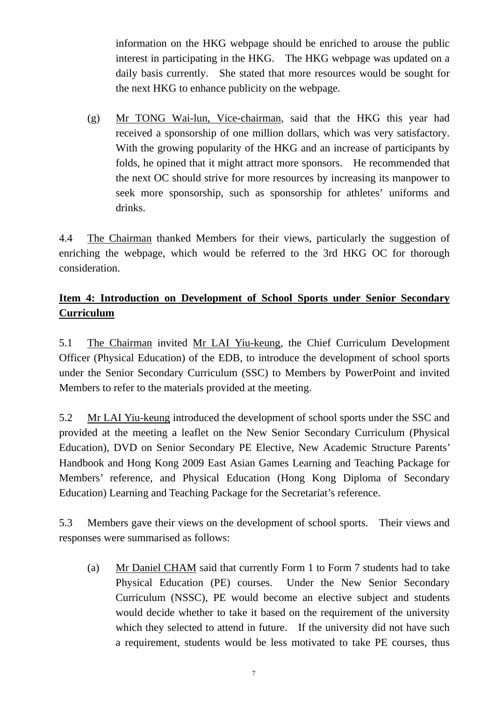information on the HKG webpage should be enriched to arouse the public interest in participating in the HKG. The HKG webpage was updated on a daily basis currently. She stated that more resources would be sought for the next HKG to enhance publicity on the webpage.

 (g) Mr TONG Wai-lun, Vice-chairman, said that the HKG this year had received a sponsorship of one million dollars, which was very satisfactory. With the growing popularity of the HKG and an increase of participants by folds, he opined that it might attract more sponsors. He recommended that the next OC should strive for more resources by increasing its manpower to seek more sponsorship, such as sponsorship for athletes' uniforms and drinks.

4.4 The Chairman thanked Members for their views, particularly the suggestion of enriching the webpage, which would be referred to the 3rd HKG OC for thorough consideration.

# **Item 4: Introduction on Development of School Sports under Senior Secondary Curriculum**

5.1 The Chairman invited Mr LAI Yiu-keung, the Chief Curriculum Development Officer (Physical Education) of the EDB, to introduce the development of school sports under the Senior Secondary Curriculum (SSC) to Members by PowerPoint and invited Members to refer to the materials provided at the meeting.

5.2 Mr LAI Yiu-keung introduced the development of school sports under the SSC and provided at the meeting a leaflet on the New Senior Secondary Curriculum (Physical Education), DVD on Senior Secondary PE Elective, New Academic Structure Parents' Handbook and Hong Kong 2009 East Asian Games Learning and Teaching Package for Members' reference, and Physical Education (Hong Kong Diploma of Secondary Education) Learning and Teaching Package for the Secretariat's reference.

5.3 Members gave their views on the development of school sports. Their views and responses were summarised as follows:

(a) Mr Daniel CHAM said that currently Form 1 to Form 7 students had to take Physical Education (PE) courses. Under the New Senior Secondary Curriculum (NSSC), PE would become an elective subject and students would decide whether to take it based on the requirement of the university which they selected to attend in future. If the university did not have such a requirement, students would be less motivated to take PE courses, thus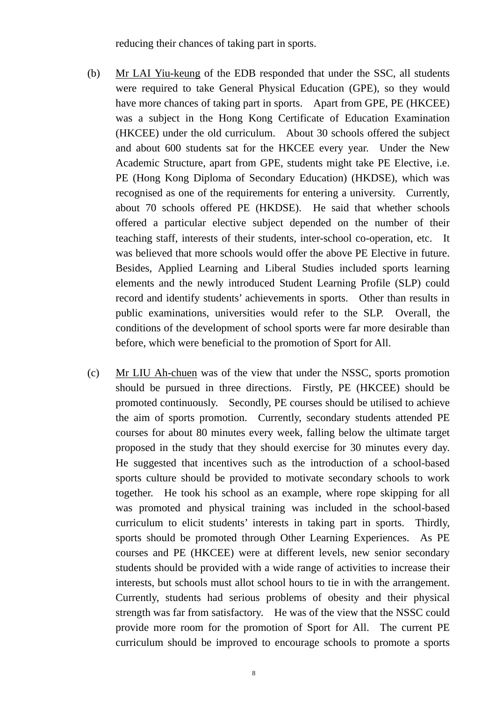reducing their chances of taking part in sports.

- (b) Mr LAI Yiu-keung of the EDB responded that under the SSC, all students were required to take General Physical Education (GPE), so they would have more chances of taking part in sports. Apart from GPE, PE (HKCEE) was a subject in the Hong Kong Certificate of Education Examination (HKCEE) under the old curriculum. About 30 schools offered the subject and about 600 students sat for the HKCEE every year. Under the New Academic Structure, apart from GPE, students might take PE Elective, i.e. PE (Hong Kong Diploma of Secondary Education) (HKDSE), which was recognised as one of the requirements for entering a university. Currently, about 70 schools offered PE (HKDSE). He said that whether schools offered a particular elective subject depended on the number of their teaching staff, interests of their students, inter-school co-operation, etc. It was believed that more schools would offer the above PE Elective in future. Besides, Applied Learning and Liberal Studies included sports learning elements and the newly introduced Student Learning Profile (SLP) could record and identify students' achievements in sports. Other than results in public examinations, universities would refer to the SLP. Overall, the conditions of the development of school sports were far more desirable than before, which were beneficial to the promotion of Sport for All.
- (c) Mr LIU Ah-chuen was of the view that under the NSSC, sports promotion should be pursued in three directions. Firstly, PE (HKCEE) should be promoted continuously. Secondly, PE courses should be utilised to achieve the aim of sports promotion. Currently, secondary students attended PE courses for about 80 minutes every week, falling below the ultimate target proposed in the study that they should exercise for 30 minutes every day. He suggested that incentives such as the introduction of a school-based sports culture should be provided to motivate secondary schools to work together. He took his school as an example, where rope skipping for all was promoted and physical training was included in the school-based curriculum to elicit students' interests in taking part in sports. Thirdly, sports should be promoted through Other Learning Experiences. As PE courses and PE (HKCEE) were at different levels, new senior secondary students should be provided with a wide range of activities to increase their interests, but schools must allot school hours to tie in with the arrangement. Currently, students had serious problems of obesity and their physical strength was far from satisfactory. He was of the view that the NSSC could provide more room for the promotion of Sport for All. The current PE curriculum should be improved to encourage schools to promote a sports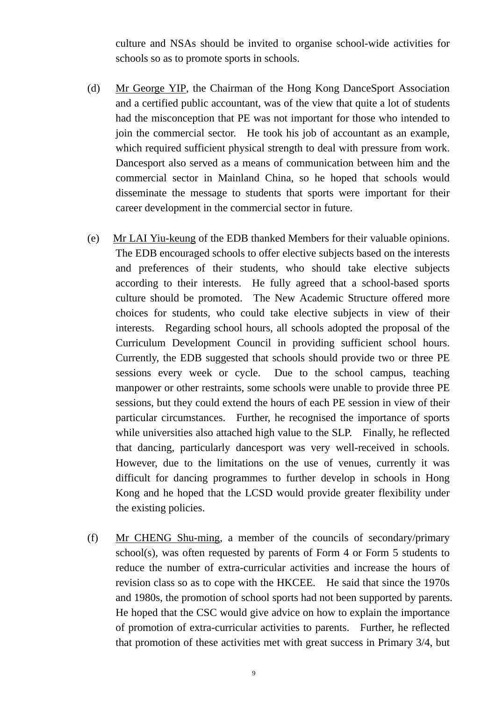culture and NSAs should be invited to organise school-wide activities for schools so as to promote sports in schools.

- (d) Mr George YIP, the Chairman of the Hong Kong DanceSport Association and a certified public accountant, was of the view that quite a lot of students had the misconception that PE was not important for those who intended to join the commercial sector. He took his job of accountant as an example, which required sufficient physical strength to deal with pressure from work. Dancesport also served as a means of communication between him and the commercial sector in Mainland China, so he hoped that schools would disseminate the message to students that sports were important for their career development in the commercial sector in future.
- (e) Mr LAI Yiu-keung of the EDB thanked Members for their valuable opinions. The EDB encouraged schools to offer elective subjects based on the interests and preferences of their students, who should take elective subjects according to their interests. He fully agreed that a school-based sports culture should be promoted. The New Academic Structure offered more choices for students, who could take elective subjects in view of their interests. Regarding school hours, all schools adopted the proposal of the Curriculum Development Council in providing sufficient school hours. Currently, the EDB suggested that schools should provide two or three PE sessions every week or cycle. Due to the school campus, teaching manpower or other restraints, some schools were unable to provide three PE sessions, but they could extend the hours of each PE session in view of their particular circumstances. Further, he recognised the importance of sports while universities also attached high value to the SLP. Finally, he reflected that dancing, particularly dancesport was very well-received in schools. However, due to the limitations on the use of venues, currently it was difficult for dancing programmes to further develop in schools in Hong Kong and he hoped that the LCSD would provide greater flexibility under the existing policies.
- (f) Mr CHENG Shu-ming, a member of the councils of secondary/primary school(s), was often requested by parents of Form 4 or Form 5 students to reduce the number of extra-curricular activities and increase the hours of revision class so as to cope with the HKCEE. He said that since the 1970s and 1980s, the promotion of school sports had not been supported by parents. He hoped that the CSC would give advice on how to explain the importance of promotion of extra-curricular activities to parents. Further, he reflected that promotion of these activities met with great success in Primary 3/4, but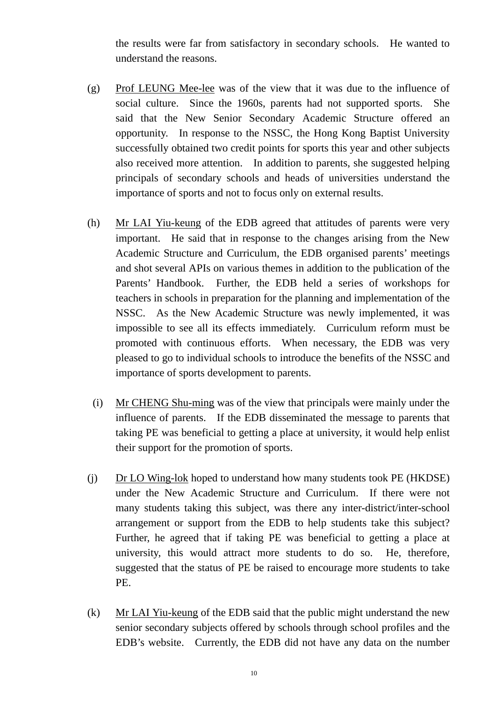the results were far from satisfactory in secondary schools. He wanted to understand the reasons.

- (g) Prof LEUNG Mee-lee was of the view that it was due to the influence of social culture. Since the 1960s, parents had not supported sports. She said that the New Senior Secondary Academic Structure offered an opportunity. In response to the NSSC, the Hong Kong Baptist University successfully obtained two credit points for sports this year and other subjects also received more attention. In addition to parents, she suggested helping principals of secondary schools and heads of universities understand the importance of sports and not to focus only on external results.
- (h) Mr LAI Yiu-keung of the EDB agreed that attitudes of parents were very important. He said that in response to the changes arising from the New Academic Structure and Curriculum, the EDB organised parents' meetings and shot several APIs on various themes in addition to the publication of the Parents' Handbook. Further, the EDB held a series of workshops for teachers in schools in preparation for the planning and implementation of the NSSC. As the New Academic Structure was newly implemented, it was impossible to see all its effects immediately. Curriculum reform must be promoted with continuous efforts. When necessary, the EDB was very pleased to go to individual schools to introduce the benefits of the NSSC and importance of sports development to parents.
	- (i) Mr CHENG Shu-ming was of the view that principals were mainly under the influence of parents. If the EDB disseminated the message to parents that taking PE was beneficial to getting a place at university, it would help enlist their support for the promotion of sports.
- (j) Dr LO Wing-lok hoped to understand how many students took PE (HKDSE) under the New Academic Structure and Curriculum. If there were not many students taking this subject, was there any inter-district/inter-school arrangement or support from the EDB to help students take this subject? Further, he agreed that if taking PE was beneficial to getting a place at university, this would attract more students to do so. He, therefore, suggested that the status of PE be raised to encourage more students to take PE.
- (k) Mr LAI Yiu-keung of the EDB said that the public might understand the new senior secondary subjects offered by schools through school profiles and the EDB's website. Currently, the EDB did not have any data on the number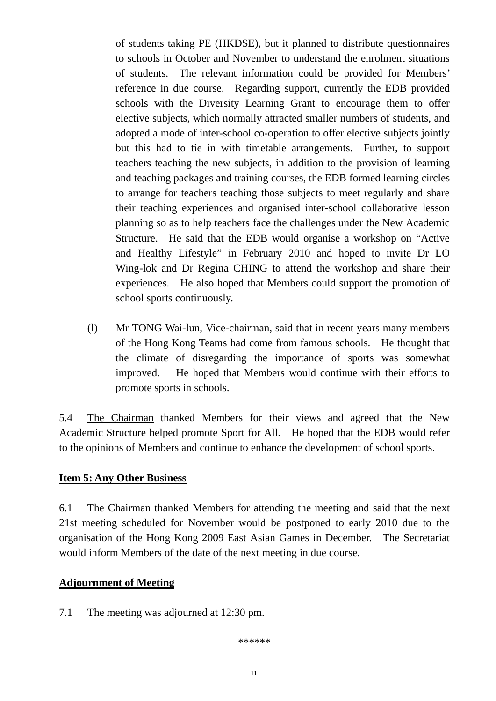of students taking PE (HKDSE), but it planned to distribute questionnaires to schools in October and November to understand the enrolment situations of students. The relevant information could be provided for Members' reference in due course. Regarding support, currently the EDB provided schools with the Diversity Learning Grant to encourage them to offer elective subjects, which normally attracted smaller numbers of students, and adopted a mode of inter-school co-operation to offer elective subjects jointly but this had to tie in with timetable arrangements. Further, to support teachers teaching the new subjects, in addition to the provision of learning and teaching packages and training courses, the EDB formed learning circles to arrange for teachers teaching those subjects to meet regularly and share their teaching experiences and organised inter-school collaborative lesson planning so as to help teachers face the challenges under the New Academic Structure. He said that the EDB would organise a workshop on "Active and Healthy Lifestyle" in February 2010 and hoped to invite Dr LO Wing-lok and Dr Regina CHING to attend the workshop and share their experiences. He also hoped that Members could support the promotion of school sports continuously.

(l) Mr TONG Wai-lun, Vice-chairman, said that in recent years many members of the Hong Kong Teams had come from famous schools. He thought that the climate of disregarding the importance of sports was somewhat improved. He hoped that Members would continue with their efforts to promote sports in schools.

5.4 The Chairman thanked Members for their views and agreed that the New Academic Structure helped promote Sport for All. He hoped that the EDB would refer to the opinions of Members and continue to enhance the development of school sports.

#### **Item 5: Any Other Business**

6.1 The Chairman thanked Members for attending the meeting and said that the next 21st meeting scheduled for November would be postponed to early 2010 due to the organisation of the Hong Kong 2009 East Asian Games in December. The Secretariat would inform Members of the date of the next meeting in due course.

#### **Adjournment of Meeting**

7.1 The meeting was adjourned at 12:30 pm.

\*\*\*\*\*\*